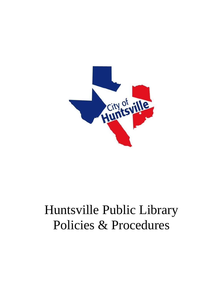

# Huntsville Public Library Policies & Procedures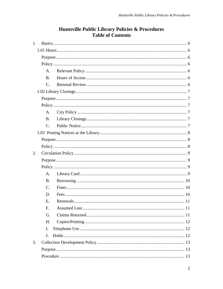| 1. |                 |  |  |
|----|-----------------|--|--|
|    |                 |  |  |
|    |                 |  |  |
|    |                 |  |  |
|    | A.              |  |  |
|    | <b>B.</b>       |  |  |
|    | $C_{\cdot}$     |  |  |
|    |                 |  |  |
|    |                 |  |  |
|    |                 |  |  |
|    | А.              |  |  |
|    | <b>B.</b>       |  |  |
|    | $\mathcal{C}$ . |  |  |
|    |                 |  |  |
|    |                 |  |  |
|    |                 |  |  |
| 2. |                 |  |  |
|    |                 |  |  |
|    |                 |  |  |
|    | A.              |  |  |
|    | <b>B.</b>       |  |  |
|    | $\mathbf{C}$ .  |  |  |
|    | D.              |  |  |
|    | Е.              |  |  |
|    | F.              |  |  |
|    | G.              |  |  |
|    | Н.              |  |  |
|    | I.              |  |  |
|    | J.              |  |  |
| 3. |                 |  |  |
|    |                 |  |  |
|    |                 |  |  |

# Huntsville Public Library Policies & Procedures **Table of Contents**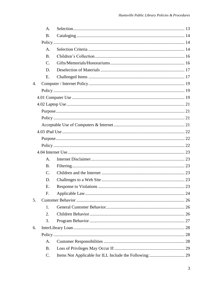|    | $\mathsf{A}$ . |  |
|----|----------------|--|
|    | <b>B.</b>      |  |
|    |                |  |
|    | $A_{\cdot}$    |  |
|    | <b>B.</b>      |  |
|    | $C_{\cdot}$    |  |
|    | D.             |  |
|    | E.             |  |
| 4. |                |  |
|    |                |  |
|    |                |  |
|    |                |  |
|    |                |  |
|    |                |  |
|    |                |  |
|    |                |  |
|    |                |  |
|    |                |  |
|    |                |  |
|    | $A_{\cdot}$    |  |
|    | <b>B.</b>      |  |
|    | $C_{\cdot}$    |  |
|    | D.             |  |
|    | Ε.             |  |
|    | F.             |  |
| 5. |                |  |
|    | 1.             |  |
|    | 2.             |  |
|    | 3.             |  |
| 6. |                |  |
|    |                |  |
|    | A.             |  |
|    | <b>B.</b>      |  |
|    | C.             |  |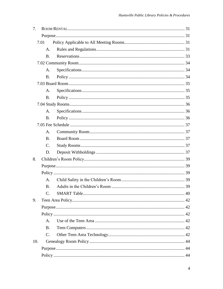| 7.  |                |  |
|-----|----------------|--|
|     |                |  |
|     | 7.01           |  |
|     | А.             |  |
|     | <b>B.</b>      |  |
|     |                |  |
|     | A.             |  |
|     | <b>B.</b>      |  |
|     |                |  |
|     | $\mathsf{A}$ . |  |
|     | <b>B.</b>      |  |
|     |                |  |
|     | A.             |  |
|     | <b>B.</b>      |  |
|     |                |  |
|     | A.             |  |
|     | <b>B.</b>      |  |
|     | $C_{\cdot}$    |  |
|     | D.             |  |
| 8.  |                |  |
|     |                |  |
|     |                |  |
|     | A.             |  |
|     | <b>B.</b>      |  |
|     | $C_{\cdot}$    |  |
| 9.  |                |  |
|     |                |  |
|     |                |  |
|     | $\mathsf{A}$ . |  |
|     | <b>B.</b>      |  |
|     | $C_{\cdot}$    |  |
| 10. |                |  |
|     |                |  |
|     |                |  |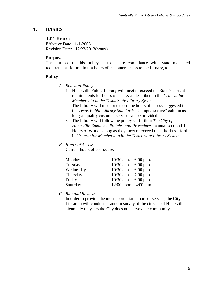# <span id="page-5-1"></span><span id="page-5-0"></span>**1. BASICS**

## **1.01 Hours**

Effective Date: 1-1-2008 Revision Date: 12/23/2013(hours)

## <span id="page-5-2"></span>**Purpose**

The purpose of this policy is to ensure compliance with State mandated requirements for minimum hours of customer access to the Library, to

# <span id="page-5-4"></span><span id="page-5-3"></span>**Policy**

- *A. Relevant Policy*
	- 1. Huntsville Public Library will meet or exceed the State's current requirements for hours of access as described in the *Criteria for Membership in the Texas State Library System*.
	- 2. The Library will meet or exceed the hours of access suggested in the *Texas Public Library Standards* "Comprehensive" column as long as quality customer service can be provided.
	- 3. The Library will follow the policy set forth in *The City of Huntsville Employee Policies and Procedures* manual section III, Hours of Work as long as they meet or exceed the criteria set forth in *Criteria for Membership in the Texas State Library System.*

## <span id="page-5-5"></span>*B. Hours of Access*

Current hours of access are:

| Monday    | 10:30 a.m. $-6:00$ p.m.   |
|-----------|---------------------------|
| Tuesday   | 10:30 a.m. $-6:00$ p.m.   |
| Wednesday | 10:30 a.m. $-6:00$ p.m.   |
| Thursday  | 10:30 a.m. $-7:00$ p.m.   |
| Friday    | 10:30 a.m. $-6:00$ p.m.   |
| Saturday  | $12:00$ noon $-4:00$ p.m. |

<span id="page-5-6"></span>*C. Biennial Review*

In order to provide the most appropriate hours of service, the City Librarian will conduct a random survey of the citizens of Huntsville biennially on years the City does not survey the community.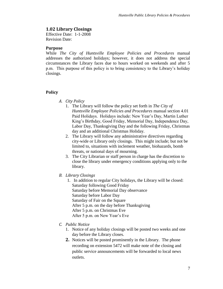## <span id="page-6-0"></span>**1.02 Library Closings**

Effective Date: 1-1-2008 Revision Date:

#### <span id="page-6-1"></span>**Purpose**

While *The City of Huntsville Employee Policies and Procedures* manual addresses the authorized holidays; however, it does not address the special circumstances the Library faces due to hours worked on weekends and after 5 p.m. This purpose of this policy is to bring consistency to the Library's holiday closings.

#### <span id="page-6-3"></span><span id="page-6-2"></span>**Policy**

- *A. City Policy*
	- 1. The Library will follow the policy set forth in *The City of Huntsville Employee Policies and Procedures* manual section 4.01 Paid Holidays. Holidays include: New Year's Day, Martin Luther King's Birthday, Good Friday, Memorial Day, Independence Day, Labor Day, Thanksgiving Day and the following Friday, Christmas day and an additional Christmas Holiday.
	- 2. The Library will follow any administrative directives regarding city-wide or Library only closings. This might include; but not be limited to, situations with inclement weather, biohazards, bomb threats, or national days of mourning.
	- 3. The City Librarian or staff person in charge has the discretion to close the library under emergency conditions applying only to the library.
- <span id="page-6-4"></span>*B. Library Closings*
	- 1. In addition to regular City holidays, the Library will be closed: Saturday following Good Friday Saturday before Memorial Day observance Saturday before Labor Day Saturday of Fair on the Square After 5 p.m. on the day before Thanksgiving After 5 p.m. on Christmas Eve After 5 p.m. on New Year's Eve
- <span id="page-6-5"></span>*C. Public Notice*
	- 1. Notice of any holiday closings will be posted two weeks and one day before the Library closes.
	- **2.** Notices will be posted prominently in the Library. The phone recording on extension 5472 will make note of the closing and public service announcements will be forwarded to local news outlets.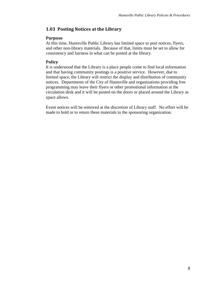# <span id="page-7-0"></span>**1.03 Posting Notices at the Library**

## <span id="page-7-1"></span>**Purpose**

At this time, Huntsville Public Library has limited space to post notices, flyers, and other non-library materials. Because of that, limits must be set to allow for consistency and fairness in what can be posted at the library.

# <span id="page-7-2"></span>**Policy**

It is understood that the Library is a place people come to find local information and that having community postings is a positive service. However, due to limited space, the Library will restrict the display and distribution of community notices. Departments of the City of Huntsville and organizations providing free programming may leave their flyers or other promotional information at the circulation desk and it will be posted on the doors or placed around the Library as space allows.

Event notices will be removed at the discretion of Library staff. No effort will be made to hold or to return these materials to the sponsoring organization.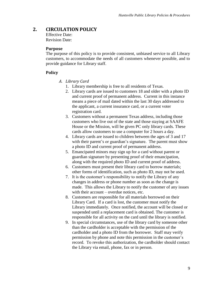# <span id="page-8-0"></span>**2. CIRCULATION POLICY**

Effective Date:

<span id="page-8-1"></span>Revision Date:

#### **Purpose**

The purpose of this policy is to provide consistent, unbiased service to all Library customers, to accommodate the needs of all customers whenever possible, and to provide guidance for Library staff.

## <span id="page-8-3"></span><span id="page-8-2"></span>**Policy**

- *A. Library Card*
	- 1. Library membership is free to all residents of Texas.
	- 2. Library cards are issued to customers 18 and older with a photo ID and current proof of permanent address. Current in this instance means a piece of mail dated within the last 30 days addressed to the applicant, a current insurance card, or a current voter registration card.
	- 3. Customers without a permanent Texas address, including those customers who live out of the state and those staying at SAAFE House or the Mission, will be given PC only library cards. These cards allow customers to use a computer for 2 hours a day.
	- 4. Library cards are issued to children between the ages of 3 and 17 with their parent's or guardian's signature. The parent must show a photo ID and current proof of permanent address.
	- 5. Emancipated minors may sign up for a card without parent or guardian signature by presenting proof of their emancipation, along with the required photo ID and current proof of address.
	- 6. Customers must present their library card to borrow materials; other forms of identification, such as photo ID, may not be used.
	- 7. It is the customer's responsibility to notify the Library of any changes in address or phone number as soon as the change is made. This allows the Library to notify the customer of any issues with their account – overdue notices, etc.
	- 8. Customers are responsible for all materials borrowed on their Library Card. If a card is lost, the customer must notify the Library immediately. Once notified, the account will be closed or suspended until a replacement card is obtained. The customer is responsible for all activity on the card until the library is notified.
	- 9. In special circumstances, use of the library card by someone other than the cardholder is acceptable with the permission of the cardholder and a photo ID from the borrower. Staff may verify permission by phone and note this permission in the customer's record. To revoke this authorization, the cardholder should contact the Library via email, phone, fax or in person.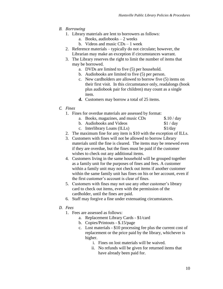- <span id="page-9-0"></span>*B. Borrowing*
	- 1. Library materials are lent to borrowers as follows:
		- a. Books, audiobooks 2 weeks
		- b. Videos and music CDs 1 week
	- 2. Reference materials typically do not circulate; however, the Librarian may make an exception if circumstances warrant.
	- 3. The Library reserves the right to limit the number of items that may be borrowed.
		- a. DVDs are limited to five (5) per household.
		- b. Audiobooks are limited to five (5) per person.
		- c. New cardholders are allowed to borrow five (5) items on their first visit. In this circumstance only, readalongs (book plus audiobook pair for children) may count as a single item.
		- **d.** Customers may borrow a total of 25 items.
- <span id="page-9-1"></span>*C. Fines*
	- 1. Fines for overdue materials are assessed by format:
		- a. Books, magazines, and music CDs \$.10 / day
		- b. Audiobooks and Videos  $$1 / day$
		- c. Interlibrary Loans (ILLs) \$1/day
	- 2. The maximum fine for any item is \$10 with the exception of ILLs.
	- 3. Customers with fines will not be allowed to borrow Library materials until the fine is cleared. The items may be renewed even if they are overdue, but the fines must be paid if the customer wishes to check out any additional items.
	- 4. Customers living in the same household will be grouped together as a family unit for the purposes of fines and fees. A customer within a family unit may not check out items if another customer within the same family unit has fines on his or her account, even if the first customer's account is clear of fines.
	- 5. Customers with fines may not use any other customer's library card to check out items, even with the permission of the cardholder, until the fines are paid.
	- 6. Staff may forgive a fine under extenuating circumstances.
- <span id="page-9-2"></span>*D. Fees*
	- 1. Fees are assessed as follows:
		- a. Replacement Library Cards \$1/card
		- b. Copies/Printouts \$.15/page
		- c. Lost materials \$10 processing fee plus the current cost of replacement or the price paid by the library, whichever is higher.
			- i. Fines on lost materials will be waived.
			- ii. No refunds will be given for returned items that have already been paid for.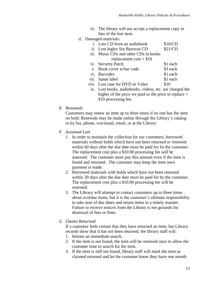- iii. The library will not accept a replacement copy in lieu of the lost item.
- d. Damaged materials:

| <i>i.</i> Lost CD from an audiobook                   | \$10/CD |
|-------------------------------------------------------|---------|
| $\cdots$ $\cdots$ $\cdots$ $\cdots$ $\cdots$ $\cdots$ | 0.1/CD  |

- ii. Lost Ingles Sin Barreras CD \$21/CD
- iii. Music CDs and other CDs in books replacement  $cost + $10$
- iv. Security Patch \$1 each
- v. Book cover w/bar code \$3 each
- vi. Barcodes \$1 each
- vii. Spine label \$1 each
- viii. Lost case for DVD or Video \$10
- ix. Lost books, audiobooks, videos, etc. are charged the higher of the price we paid or the price to replace + \$10 processing fee.
- <span id="page-10-0"></span>*E. Renewals*

Customers may renew an item up to three times if no one has the item on hold. Renewals may be made online through the Library's catalog or by fax, phone, voicemail, email, or at the Library.

- <span id="page-10-1"></span>*F. Assumed Lost*
	- 1. In order to maintain the collection for our customers, borrowed materials without holds which have not been returned or renewed within 60 days after the due date must be paid for by the customer. The replacement cost plus a \$10.00 processing fee will be assessed. The customer must pay this amount even if the item is found and returned. The customer may keep the item once payment is made.
	- 2. Borrowed materials with holds which have not been returned within 30 days after the due date must be paid for by the customer. The replacement cost plus a \$10.00 processing fee will be assessed.
	- 3. The Library will attempt to contact customers up to three times about overdue items, but it is the customer's ultimate responsibility to take note of due dates and return items in a timely manner. Failure to receive notices from the Library is not grounds for dismissal of fees or fines.
- <span id="page-10-2"></span>*G. Claims Returned*

If a customer feels certain that they have returned an item; but Library records show that it has not been returned, the library staff will:

- 1. Initiate an immediate search.
- 2. If the item is not found, the item will be renewed once to allow the customer time to search for the item.
- 3. If the item is still not found, library staff will mark the item as claimed returned and let the customer know they have one month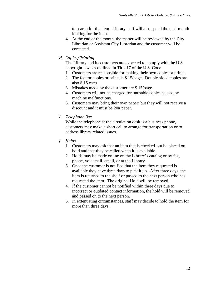to search for the item. Library staff will also spend the next month looking for the item.

4. At the end of the month, the matter will be reviewed by the City Librarian or Assistant City Librarian and the customer will be contacted.

## <span id="page-11-0"></span>*H. Copies/Printing*

The Library and its customers are expected to comply with the U.S. copyright laws as outlined in Title 17 of the U.S. Code.

- 1. Customers are responsible for making their own copies or prints.
- 2. The fee for copies or prints is \$.15/page. Double-sided copies are also \$.15 each.
- 3. Mistakes made by the customer are \$.15/page.
- 4. Customers will not be charged for unusable copies caused by machine malfunctions.
- 5. Customers may bring their own paper; but they will not receive a discount and it must be 20# paper.
- <span id="page-11-1"></span>*I. Telephone Use*

While the telephone at the circulation desk is a business phone, customers may make a short call to arrange for transportation or to address library related issues.

- <span id="page-11-2"></span>*J. Holds*
	- 1. Customers may ask that an item that is checked-out be placed on hold and that they be called when it is available.
	- 2. Holds may be made online on the Library's catalog or by fax, phone, voicemail, email, or at the Library.
	- 3. Once the customer is notified that the item they requested is available they have three days to pick it up. After three days, the item is returned to the shelf or passed to the next person who has requested the item. The original Hold will be removed.
	- 4. If the customer cannot be notified within three days due to incorrect or outdated contact information, the hold will be removed and passed on to the next person.
	- 5. In extenuating circumstances, staff may decide to hold the item for more than three days.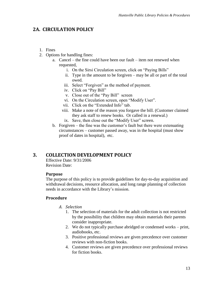# **2A. CIRCULATION POLICY**

- 1. Fines
- 2. Options for handling fines:
	- a. Cancel the fine could have been our fault item not renewed when requested,
		- i. On the Sirsi Circulation screen, click on "Paying Bills"
		- ii. Type in the amount to be forgiven may be all or part of the total owed.
		- iii. Select "Forgiven" as the method of payment.
		- iv. Click on "Pay Bill"
		- v. Close out of the "Pay Bill" screen
		- vi. On the Circulation screen, open "Modify User".
		- vii. Click on the "Extended Info" tab.
		- viii. Make a note of the reason you forgave the bill. (Customer claimed they ask staff to renew books. Or called in a renewal.)
		- ix. Save, then close out the "Modify User" screen.
	- b. Forgiven the fine was the customer's fault but there were extenuating circumstances – customer passed away, was in the hospital (must show proof of dates in hospital), etc.

# <span id="page-12-0"></span>**3. COLLECTION DEVELOPMENT POLICY**

Effective Date: 9/31/2006 Revision Date:

## <span id="page-12-1"></span>**Purpose**

The purpose of this policy is to provide guidelines for day-to-day acquisition and withdrawal decisions, resource allocation, and long range planning of collection needs in accordance with the Library's mission.

## <span id="page-12-3"></span><span id="page-12-2"></span>**Procedure**

- *A. Selection*
	- 1. The selection of materials for the adult collection is not restricted by the possibility that children may obtain materials their parents consider inappropriate.
	- 2. We do not typically purchase abridged or condensed works print, audiobooks, etc.
	- 3. Positive professional reviews are given precedence over customer reviews with non-fiction books.
	- 4. Customer reviews are given precedence over professional reviews for fiction books.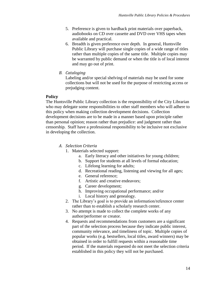- 5. Preference is given to hardback print materials over paperback, audiobooks on CD over cassette and DVD over VHS tapes when available and practical.
- 6. Breadth is given preference over depth. In general, Huntsville Public Library will purchase single copies of a wide range of titles rather than multiple copies of the same title. Multiple copies may be warranted by public demand or when the title is of local interest and may go out of print.
- <span id="page-13-0"></span>*B. Cataloging*

Labeling and/or special shelving of materials may be used for some collections but will not be used for the purpose of restricting access or prejudging content.

## <span id="page-13-1"></span>**Policy**

The Huntsville Public Library collection is the responsibility of the City Librarian who may delegate some responsibilities to other staff members who will adhere to this policy when making collection development decisions. Collection development decisions are to be made in a manner based upon principle rather than personal opinion; reason rather than prejudice: and judgment rather than censorship. Staff have a professional responsibility to be inclusive not exclusive in developing the collection.

- <span id="page-13-2"></span>*A. Selection Criteria*
	- 1. Materials selected support:
		- a. Early literacy and other initiatives for young children;
		- b. Support for students at all levels of formal education;
		- c. Lifelong learning for adults;
		- d. Recreational reading, listening and viewing for all ages;
		- e. General reference;
		- f. Artistic and creative endeavors;
		- g. Career development;
		- h. Improving occupational performance; and/or
		- i. Local history and genealogy.
	- 2. The Library's goal is to provide an information/reference center rather than to establish a scholarly research center.
	- 3. No attempt is made to collect the complete works of any author/performer or creator.
	- 4. Requests and recommendations from customers are a significant part of the selection process because they indicate public interest, community relevance, and timeliness of topic. Multiple copies of popular works (e.g. bestsellers, local titles, award winners) may be obtained in order to fulfill requests within a reasonable time period. If the materials requested do not meet the selection criteria established in this policy they will not be purchased.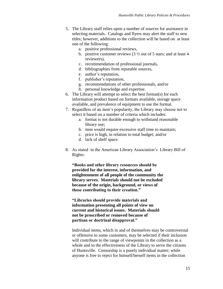- 5. The Library staff relies upon a number of sources for assistance in selecting materials. Catalogs and flyers may alert the staff to new titles; however, additions to the collection will be based on at least one of the following:
	- a. positive professional reviews,
	- b. positive customer reviews  $(3 \frac{1}{2})$  out of 5 stars; and at least 4 reviewers),
	- c. recommendation of professional journals,
	- d. bibliographies from reputable sources,
	- e. author's reputation,
	- f. publisher's reputation,
	- g. recommendations of other professionals, and/or
	- h. personal knowledge and expertise.
- 6. The Library will attempt to select the best format(s) for each information product based on formats available, storage space available, and prevalence of equipment to use the format.
- 7. Regardless of an item's popularity, the Library may choose not to select it based on a number of criteria which includes:
	- a. format is not durable enough to withstand reasonable library use;
	- b. item would require excessive staff time to maintain;
	- c. price is high, in relation to total budget; and/or
	- d. lack of shelf space.
- 8. As stated in the American Library Association's Library Bill of Rights:

**"Books and other library resources should be provided for the interest, information, and enlightenment of all people of the community the library serves. Materials should not be excluded because of the origin, background, or views of those contributing to their creation."**

**"Libraries should provide materials and information presenting all points of view on current and historical issues. Materials should not be proscribed or removed because of partisan or doctrinal disapproval."**

Individual items, which in and of themselves may be controversial or offensive to some customers, may be selected if their inclusion will contribute to the range of viewpoints in the collection as a whole and to the effectiveness of the Library to serve the citizens of Huntsville. Censorship is a purely individual matter; while anyone is free to reject for himself/herself items in the collection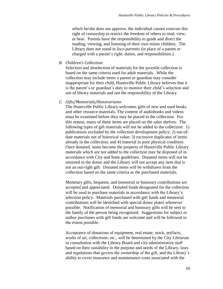which he/she does not approve, the individual cannot exercise this right of censorship to restrict the freedom of others to read, view, or hear. Parents have the responsibility to guide and direct the reading, viewing, and listening of their own minor children. The Library does not stand in *loco parentis* (in place of a parent or charged with a parent's right, duties, and responsibilities.)

<span id="page-15-0"></span>*B. Children's Collection*

Selection and deselection of materials for the juvenile collection is based on the same criteria used for adult materials. While the collection may include items a parent or guardian may consider inappropriate for their child, Huntsville Public Library believes that it is the parent's or guardian's duty to monitor their child's selection and use of library materials and not the responsibility of the Library.

#### <span id="page-15-1"></span>*C. Gifts/Memorials/Honorariums*

The Huntsville Public Library welcomes gifts of new and used books and other resource materials. The content of audiobooks and videos must be examined before they may be placed in the collection. For this reason, many of these items are placed on the sales shelves. The following types of gift materials will not be added to the collection: 1) publications excluded by the collection development policy; 2) out-ofdate materials not of historical value; 3) excessive duplicates of items already in the collection; and 4) material in poor physical condition. Once donated, items become the property of Huntsville Public Library materials which are not added to the collection may be disposed of in accordance with City and State guidelines. Donated items will not be returned to the donor and the Library will not accept any item that is not an out-right gift. Donated items will be withdrawn from the collection based on the same criteria as the purchased materials.

Monetary gifts, bequests, and memorial or honorary contributions are accepted and appreciated. Donated funds designated for the collection will be used to purchase materials in accordance with the Library's selection policy. Materials purchased with gift funds and memorial contributions will be identified with special donor plates whenever possible. Notification of memorial and honorary gifts will be sent to the family of the person being recognized. Suggestions for subject or author purchases with gift funds are welcome and will be followed to the extent possible.

Acceptance of donations of equipment, real estate, stock, artifacts, works of art, collections, etc., will be determined by the City Librarian in consultation with the Library Board and city administrative staff based on their suitability to the purpose and needs of the Library, laws and regulations that govern the ownership of the gift, and the Library's ability to cover insurance and maintenance costs associated with the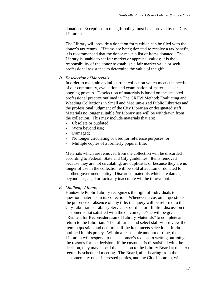donation. Exceptions to this gift policy must be approved by the City Librarian.

The Library will provide a donation form which can be filed with the donor's tax return. If items are being donated to receive a tax benefit, it is recommended that the donor make a list of items donated. The Library is unable to set fair market or appraisal values; it is the responsibility of the donor to establish a fair market value or seek professional assistance to determine the value of the gift.

#### <span id="page-16-0"></span>*D. Deselection of Materials*

In order to maintain a vital, current collection which meets the needs of our community, evaluation and examination of materials is an ongoing process. Deselection of materials is based on the accepted professional practice outlined in The CREW Method: Evaluating and Weeding Collections in Small and Medium-sized Public Libraries and the professional judgment of the City Librarian or designated staff. Materials no longer suitable for Library use will be withdrawn from the collection. This may include materials that are:

- Obsolete or outdated;
- Worn beyond use;
- Damaged;
- No longer circulating or used for reference purposes; or
- Multiple copies of a formerly popular title.

Materials which are removed from the collection will be discarded according to Federal, State and City guidelines. Items removed because they are not circulating, are duplicates or because they are no longer of use in the collection will be sold at auction or donated to another government entity. Discarded materials which are damaged beyond use, aged or factually inaccurate will be thrown out.

<span id="page-16-1"></span>*E. Challenged Items*

Huntsville Public Library recognizes the right of individuals to question materials in its collection. Whenever a customer questions the presence or absence of any title, the query will be referred to the City Librarian or Library Services Coordinator. If after discussion the customer is not satisfied with the outcome, he/she will be given a "Request for Reconsideration of Library Materials" to complete and return to the Librarian. The Librarian and select staff will review the item in question and determine if the item meets selection criteria outlined in this policy. Within a reasonable amount of time, the Librarian will respond to the customer's request in writing outlining the reasons for the decision. If the customer is dissatisfied with the decision, they may appeal the decision to the Library Board at the next regularly scheduled meeting. The Board, after hearing from the customer, any other interested parties, and the City Librarian, will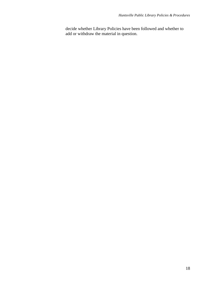decide whether Library Policies have been followed and whether to add or withdraw the material in question.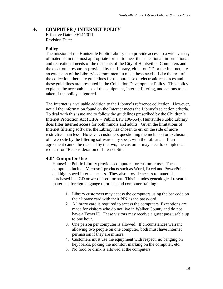# <span id="page-18-0"></span>**4. COMPUTER / INTERNET POLICY**

Effective Date: 09/14/2011 Revision Date:

#### <span id="page-18-1"></span>**Policy**

The mission of the Huntsville Public Library is to provide access to a wide variety of materials in the most appropriate format to meet the educational, informational and recreational needs of the residents of the City of Huntsville. Computers and the electronic resources provided by the Library, either on CD or the Internet, are an extension of the Library's commitment to meet these needs. Like the rest of the collection, there are guidelines for the purchase of electronic resources and these guidelines are presented in the Collection Development Policy. This policy explains the acceptable use of the equipment, Internet filtering, and actions to be taken if the policy is ignored.

The Internet is a valuable addition to the Library's reference collection. However, not all the information found on the Internet meets the Library's selection criteria. To deal with this issue and to follow the guidelines prescribed by the Children's Internet Protection Act (CIPA  $\sim$  Public Law 106-554), Huntsville Public Library does filter Internet access for both minors and adults. Given the limitations of Internet filtering software, the Library has chosen to err on the side of more restrictive than less. However, customers questioning the inclusion or exclusion of a web site by the filtering software may speak with the Librarian. If an agreement cannot be reached by the two, the customer may elect to complete a request for "Reconsideration of Internet Site."

#### <span id="page-18-2"></span>**4.01 Computer Use**

Huntsville Public Library provides computers for customer use. These computers include Microsoft products such as Word, Excel and PowerPoint and high-speed Internet access. They also provide access to materials purchased in a CD or web-based format. This includes genealogical research materials, foreign language tutorials, and computer training.

- 1. Library customers may access the computers using the bar code on their library card with their PIN as the password.
- 2. A library card is required to access the computers. Exceptions are made for visitors who do not live in Walker County and do not have a Texas ID. These visitors may receive a guest pass usable up to one hour.
- 3. One person per computer is allowed. If circumstances warrant allowing two people on one computer, both must have Internet permission if they are minors.
- 4. Customers must use the equipment with respect; no banging on keyboards, poking the monitor, marking on the computer, etc.
- 5. No food or drink is allowed at the computers.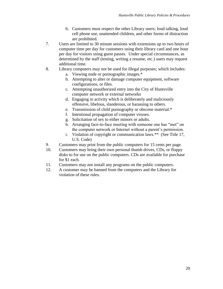- 6. Customers must respect the other Library users; loud talking, loud cell phone use, unattended children, and other forms of distraction are prohibited.
- 7. Users are limited to 30 minute sessions with extensions up to two hours of computer time per day for customers using their library card and one hour per day for visitors using guest passes. Under special circumstances, as determined by the staff (testing, writing a resume, etc.) users may request additional time.
- 8. Library computers may not be used for illegal purposes; which includes:
	- a. Viewing nude or pornographic images.\*
	- b. Attempting to alter or damage computer equipment, software configurations, or files.
	- c. Attempting unauthorized entry into the City of Huntsville computer network or external networks
	- d. Engaging in activity which is deliberately and maliciously offensive, libelous, slanderous, or harassing to others.
	- e. Transmission of child pornography or obscene material.\*
	- f. Intentional propagation of computer viruses.
	- g. Solicitation of sex to either minors or adults.
	- h. Arranging face-to-face meeting with someone one has "met" on the computer network or Internet without a parent's permission.
	- i. Violation of copyright or communication laws.\*\* (See Title 17, U.S. Code)
- 9. Customers may print from the public computers for 15 cents per page.
- 10. Customers may bring their own personal thumb drives, CDs, or floppy disks to for use on the public computers. CDs are available for purchase for \$1 each.
- 11. Customers may not install any programs on the public computers.
- 12. A customer may be banned from the computers and the Library for violation of these rules.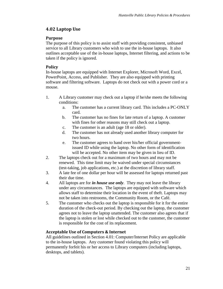# <span id="page-20-0"></span>**4.02 Laptop Use**

# <span id="page-20-1"></span>**Purpose**

The purpose of this policy is to assist staff with providing consistent, unbiased service to all Library customers who wish to use the in-house laptops. It also outlines acceptable use of the in-house laptops, Internet filtering, and actions to be taken if the policy is ignored.

# <span id="page-20-2"></span>**Policy**

In-house laptops are equipped with Internet Explorer, Microsoft Word, Excel, PowerPoint, Access, and Publisher. They are also equipped with printing software and filtering software. Laptops do not check out with a power cord or a mouse.

- 1. A Library customer may check out a laptop if he/she meets the following conditions:
	- a. The customer has a current library card. This includes a PC-ONLY card.
	- b. The customer has no fines for late return of a laptop. A customer with fines for other reasons may still check out a laptop.
	- c. The customer is an adult (age 18 or older).
	- d. The customer has not already used another library computer for two hours.
	- e. The customer agrees to hand over his/her official governmentissued ID while using the laptop. No other form of identification will be accepted. No other item may be given in lieu of ID.
- 2. The laptops check out for a maximum of two hours and may not be renewed. This time limit may be waived under special circumstances (test-taking, job applications, etc.) at the discretion of library staff.
- 3. A late fee of one dollar per hour will be assessed for laptops returned past their due time.
- 4. All laptops are for *in house use only*. They may not leave the library under any circumstances. The laptops are equipped with software which allows staff to determine their location in the event of theft. Laptops may not be taken into restrooms, the Community Room, or the Café.
- 5. The customer who checks out the laptop is responsible for it for the entire duration of the check-out period. By checking out the laptop, the customer agrees not to leave the laptop unattended. The customer also agrees that if the laptop is stolen or lost while checked out to the customer, the customer is responsible for the cost of its replacement.

# <span id="page-20-3"></span>**Acceptable Use of Computers & Internet**

All guidelines outlined in Section 4.01: Computer/Internet Policy are applicable to the in-house laptops. Any customer found violating this policy will permanently forfeit his or her access to Library computers (including laptops, desktops, and tablets).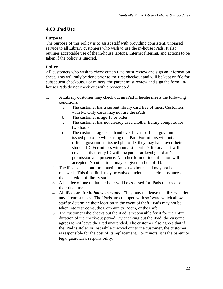# <span id="page-21-0"></span>**4.03 iPad Use**

## <span id="page-21-1"></span>**Purpose**

The purpose of this policy is to assist staff with providing consistent, unbiased service to all Library customers who wish to use the in-house iPads. It also outlines acceptable use of the in-house laptops, Internet filtering, and actions to be taken if the policy is ignored.

## <span id="page-21-2"></span>**Policy**

All customers who wish to check out an iPad must review and sign an information sheet. This will only be done prior to the first checkout and will be kept on file for subsequent checkouts. For minors, the parent must review and sign the form. Inhouse iPads do not check out with a power cord.

- 1. A Library customer may check out an iPad if he/she meets the following conditions:
	- a. The customer has a current library card free of fines. Customers with PC Only cards may not use the iPads.
	- b. The customer is age 13 or older.
	- c. The customer has not already used another library computer for two hours.
	- d. The customer agrees to hand over his/her official governmentissued photo ID while using the iPad. For minors without an official government-issued photo ID, they may hand over their student ID. For minors without a student ID, library staff will create an iPad-only ID with the parent or legal guardian's permission and presence. No other form of identification will be accepted. No other item may be given in lieu of ID.
	- 2. The iPads check out for a maximum of two hours and may not be renewed. This time limit may be waived under special circumstances at the discretion of library staff.
	- 3. A late fee of one dollar per hour will be assessed for iPads returned past their due time.
	- 4. All iPads are for *in house use only*. They may not leave the library under any circumstances. The iPads are equipped with software which allows staff to determine their location in the event of theft. iPads may not be taken into restrooms, the Community Room, or the Café.
	- 5. The customer who checks out the iPad is responsible for it for the entire duration of the check-out period. By checking out the iPad, the customer agrees to not leave the iPad unattended. The customer also agrees that if the iPad is stolen or lost while checked out to the customer, the customer is responsible for the cost of its replacement. For minors, it is the parent or legal guardian's responsibility.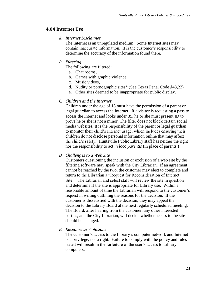# <span id="page-22-1"></span><span id="page-22-0"></span>**4.04 Internet Use**

#### *A. Internet Disclaimer*

The Internet is an unregulated medium. Some Internet sites may contain inaccurate information. It is the customer's responsibility to determine the accuracy of the information found there.

#### <span id="page-22-2"></span>*B. Filtering*

The following are filtered:

- a. Chat rooms,
- b. Games with graphic violence,
- c. Music videos,
- d. Nudity or pornographic sites\* (See Texas Penal Code §43,22)
- e. Other sites deemed to be inappropriate for public display.

#### <span id="page-22-3"></span>*C. Children and the Internet*

Children under the age of 18 must have the permission of a parent or legal guardian to access the Internet. If a visitor is requesting a pass to access the Internet and looks under 35, he or she must present ID to prove he or she is not a minor. The filter does not block certain social media websites. It is the responsibility of the parent or legal guardian to monitor their child's Internet usage, which includes ensuring their children do not disclose personal information online that may affect the child's safety. Huntsville Public Library staff has neither the right nor the responsibility to act *in loco parentis* (in place of parents.)

#### <span id="page-22-4"></span>*D. Challenges to a Web Site*

Customers questioning the inclusion or exclusion of a web site by the filtering software may speak with the City Librarian. If an agreement cannot be reached by the two, the customer may elect to complete and return to the Librarian a "Request for Reconsideration of Internet Site." The Librarian and select staff will review the site in question and determine if the site is appropriate for Library use. Within a reasonable amount of time the Librarian will respond to the customer's request in writing outlining the reasons for the decision. If the customer is dissatisfied with the decision, they may appeal the decision to the Library Board at the next regularly scheduled meeting. The Board, after hearing from the customer, any other interested parties, and the City Librarian, will decide whether access to the site should be changed.

#### <span id="page-22-5"></span>*E. Response to Violations*

The customer's access to the Library's computer network and Internet is a privilege, not a right. Failure to comply with the policy and rules stated will result in the forfeiture of the user's access to Library computers.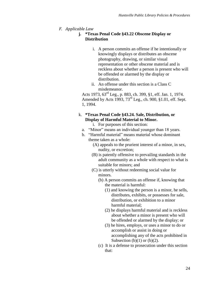## <span id="page-23-0"></span>*F. Applicable Law*

- **j. \*Texas Penal Code §43.22 Obscene Display or Distribution**
	- i. A person commits an offense if he intentionally or knowingly displays or distributes an obscene photography, drawing, or similar visual representation or other obscene material and is reckless about whether a person is present who will be offended or alarmed by the display or distribution.
	- ii. An offense under this section is a Class C misdemeanor.

Acts 1973, 63rd Leg., p. 883, ch. 399, §1, eff. Jan. 1, 1974. Amended by Acts 1993, 73rd Leg., ch. 900, §1.01, eff. Sept. 1, 1994.

# k. **\*Texas Penal Code §43.24. Sale, Distribution, or Display of Harmful Material to Minor.**

i. For purposes of this section:

- a. "Minor" means an individual younger than 18 years.
- b. "Harmful material" means material whose dominant theme taken as a whole:
	- (A) appeals to the prurient interest of a minor, in sex, nudity, or excretion;
	- (B) is patently offensive to prevailing standards in the adult community as a whole with respect to what is suitable for minors; and
	- (C) is utterly without redeeming social value for minors.
		- (b) A person commits an offense if, knowing that the material is harmful:
			- (1) and knowing the person is a minor, he sells, distributes, exhibits, or possesses for sale, distribution, or exhibition to a minor harmful material;
			- (2) he displays harmful material and is reckless about whether a minor is present who will be offended or alarmed by the display; or
			- (3) he hires, employs, or uses a minor to do or accomplish or assist in doing or accomplishing any of the acts prohibited in Subsection  $(b)(1)$  or  $(b)(2)$ .
		- (c) It is a defense to prosecution under this section that: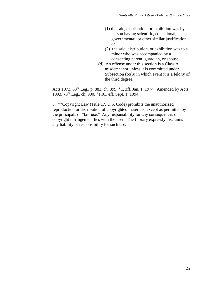- (1) the sale, distribution, or exhibition was by a person having scientific, educational, governmental, or other similar justification; or
- (2) the sale, distribution, or exhibition was to a minor who was accompanied by a consenting parent, guardian, or spouse.
- (d) An offense under this section is a Class A misdemeanor unless it is committed under Subsection (b)(3) in which event it is a felony of the third degree.

Acts 1973, 63<sup>rd</sup> Leg., p. 883, ch. 399, §1, 3ff. Jan. 1, 1974. Amended by Acts 1993, 73rd Leg., ch. 900, §1.01, eff. Sept. 1, 1994.

3. \*\*Copyright Law (Title 17, U.S. Code) prohibits the unauthorized reproduction or distribution of copyrighted materials, except as permitted by the principals of "fair use." Any responsibility for any consequences of copyright infringement lies with the user. The Library expressly disclaims any liability or responsibility for such use.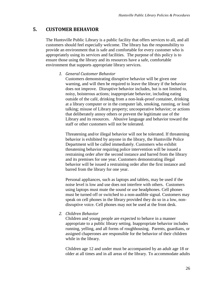# <span id="page-25-0"></span>**5. CUSTOMER BEHAVIOR**

The Huntsville Public Library is a public facility that offers services to all, and all customers should feel especially welcome. The library has the responsibility to provide an environment that is safe and comfortable for every customer who is appropriately using its services and facilities. The purpose of this policy is to ensure those using the library and its resources have a safe, comfortable environment that supports appropriate library services.

#### <span id="page-25-1"></span>*1. General Customer Behavior*

Customers demonstrating disruptive behavior will be given one warning, and will then be required to leave the library if the behavior does not improve. Disruptive behavior includes, but is not limited to, noisy, boisterous actions; inappropriate behavior, including eating outside of the café, drinking from a non-leak-proof container, drinking at a library computer or in the computer lab, smoking, running, or loud talking; misuse of Library property; uncooperative behavior; or actions that deliberately annoy others or prevent the legitimate use of the Library and its resources. Abusive language and behavior toward the staff or other customers will not be tolerated.

Threatening and/or illegal behavior will not be tolerated. If threatening behavior is exhibited by anyone in the library, the Huntsville Police Department will be called immediately. Customers who exhibit threatening behavior requiring police intervention will be issued a restraining order after the second instance and barred from the library and its premises for one year. Customers demonstrating illegal behavior will be issued a restraining order after the first instance and barred from the library for one year.

Personal appliances, such as laptops and tablets, may be used if the noise level is low and use does not interfere with others. Customers using laptops must mute the sound or use headphones. Cell phones must be turned off or switched to a non-audible signal. Customers may speak on cell phones in the library provided they do so in a low, nondisruptive voice. Cell phones may not be used at the front desk.

#### <span id="page-25-2"></span>*2. Children Behavior*

Children and young people are expected to behave in a manner appropriate to a public library setting. Inappropriate behavior includes running, yelling, and all forms of roughhousing. Parents, guardians, or assigned chaperones are responsible for the behavior of their children while in the library.

Children age 12 and under must be accompanied by an adult age 18 or older at all times and in all areas of the library. To accommodate adults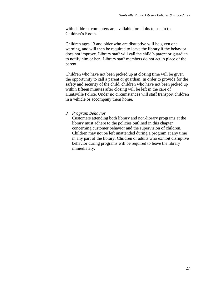with children, computers are available for adults to use in the Children's Room.

Children ages 13 and older who are disruptive will be given one warning, and will then be required to leave the library if the behavior does not improve. Library staff will call the child's parent or guardian to notify him or her. Library staff members do not act in place of the parent.

Children who have not been picked up at closing time will be given the opportunity to call a parent or guardian. In order to provide for the safety and security of the child, children who have not been picked up within fifteen minutes after closing will be left in the care of Huntsville Police. Under no circumstances will staff transport children in a vehicle or accompany them home.

#### <span id="page-26-0"></span>*3. Program Behavior*

Customers attending both library and non-library programs at the library must adhere to the policies outlined in this chapter concerning customer behavior and the supervision of children. Children may not be left unattended during a program at any time in any part of the library. Children or adults who exhibit disruptive behavior during programs will be required to leave the library immediately.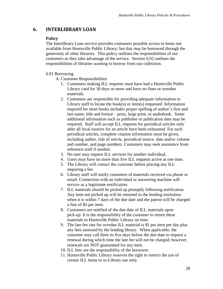# <span id="page-27-1"></span><span id="page-27-0"></span>**6. INTERLIBRARY LOAN**

#### **Policy**

The Interlibrary Loan service provides customers possible access to items not available from Huntsville Public Library; but that may be borrowed through the generosity of other libraries. This policy outlines the responsibilities of our customers as they take advantage of the service. Section 6.02 outlines the responsibilities of libraries wanting to borrow from our collection.

#### 6.01 Borrowing

- <span id="page-27-2"></span>A. Customer Responsibilities
	- 1. Customers making ILL requests must have had a Huntsville Public Library card for 30 days or more and have no fines or overdue materials.
	- 2. Customers are responsible for providing adequate information to Library staff to locate the book(s) or item(s) requested. Information required for most books includes proper spelling of author's first and last name, title and format – print, large print, or audiobook. Some additional information such as publisher or publication date may be required. Staff will accept ILL requests for periodical articles only after all local sources for an article have been exhausted. For such periodical articles, complete citation information must be given, including author, title of article, periodical source, date and/or volume and number, and page numbers. Customers may seek assistance from reference staff if needed.
	- 3. No user may request ILL services for another individual.
	- 4. Users may have no more than five ILL requests active at one time.
	- 5. The Library will contact the customer before placing any ILL requiring a fee.
	- 6. Library staff will notify customers of materials received via phone or email. Connection with an individual or answering machine will service as a legitimate notification.
	- 7. ILL materials should be picked up promptly following notification. Any item not picked up will be returned to the lending institution when it is within 7 days of the due date and the patron will be charged a fine of \$3 per item.
	- 8. Customers are notified of the due date of ILL materials upon pick-up. It is the responsibility of the customer to return these materials to Huntsville Public Library on time.
	- 9. The late fee rate for overdue ILL material is \$1 per item per day plus any fees assessed by the lending library. When applicable, the customer may call three to five days before the due date to request a renewal during which time the late fee will not be charged; however, renewals are NOT guaranteed for any item.
	- 10. ILL fees are the responsibility of the borrower.
	- 11. Huntsville Public Library reserves the right to restrict the use of certain ILL items to in-Library use only.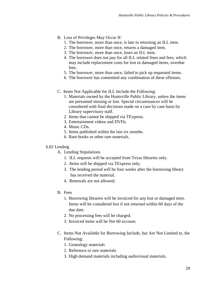- <span id="page-28-0"></span>B. Loss of Privileges May Occur If:
	- 1. The borrower, more than once, is late in returning an ILL item.
	- 2. The borrower, more than once, returns a damaged item.
	- 3. The borrower, more than once, loses an ILL item.
	- 4. The borrower does not pay for all ILL related fines and fees; which may include replacement costs for lost or damaged items, overdue fees.
	- 5. The borrower, more than once, failed to pick up requested items.
	- 6. The borrower has committed any combination of these offenses.
- <span id="page-28-1"></span>C. Items Not Applicable for ILL Include the Following:
	- 1. Materials owned by the Huntsville Public Library, unless the items are presumed missing or lost. Special circumstances will be considered with final decisions made on a case by case basis by Library supervisory staff.
	- 2. Items that cannot be shipped via TExpress.
	- 3. Entertainment videos and DVDs.
	- 4. Music CDs.
	- 5. Items published within the last six months.
	- 6. Rare books or other rare materials.

#### 6.02 Lending

- A. Lending Stipulations
	- 1. ILL requests will be accepted from Texas libraries only.
	- 2. Items will be shipped via TExpress only.
	- 3. The lending period will be four weeks after the borrowing library has received the material.
	- 4. Renewals are not allowed.
- B. Fees
	- 1. Borrowing libraries will be invoiced for any lost or damaged item. Items will be considered lost if not returned within 60 days of the due date.
	- 2. No processing fees will be charged.
	- 3. Invoiced items will be Net 60 account.
- C. Items Not Available for Borrowing Include, but Are Not Limited to, the Following:
	- 1. Genealogy materials
	- 2. Reference or rare materials
	- 3. High demand materials including audiovisual materials.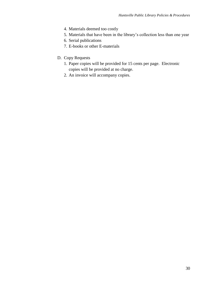- 4. Materials deemed too costly
- 5. Materials that have been in the library's collection less than one year
- 6. Serial publications
- 7. E-books or other E-materials
- D. Copy Requests
	- 1. Paper copies will be provided for 15 cents per page. Electronic copies will be provided at no charge.
	- 2. An invoice will accompany copies.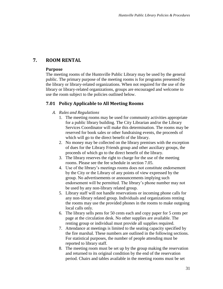# <span id="page-30-1"></span><span id="page-30-0"></span>**7. ROOM RENTAL**

#### **Purpose**

The meeting rooms of the Huntsville Public Library may be used by the general public. The primary purpose of the meeting rooms is for programs presented by the library or library-related organizations. When not required for the use of the library or library-related organizations, groups are encouraged and welcome to use the room subject to the policies outlined below.

# <span id="page-30-3"></span><span id="page-30-2"></span>**7.01 Policy Applicable to All Meeting Rooms**

## *A. Rules and Regulations*

- 1. The meeting rooms may be used for community activities appropriate for a public library building. The City Librarian and/or the Library Services Coordinator will make this determination. The rooms may be reserved for book sales or other fundraising events, the proceeds of which will go to the direct benefit of the library.
- 2. No money may be collected on the library premises with the exception of dues for the Library Friends group and other auxiliary groups, the proceeds of which go to the direct benefit of the library.
- 3. The library reserves the right to charge for the use of the meeting rooms. Please see the fee schedule in section 7.05.
- 4. Use of the library's meetings rooms does not constitute endorsement by the City or the Library of any points of view expressed by the group. No advertisements or announcements implying such endorsement will be permitted. The library's phone number may not be used by any non-library related group.
- 5. Library staff will not handle reservations or incoming phone calls for any non-library related group. Individuals and organizations renting the rooms may use the provided phones in the rooms to make outgoing local calls only.
- 6. The library sells pens for 50 cents each and copy paper for 5 cents per page at the circulation desk. No other supplies are available. The renting group or individual must provide all supplies required.
- 7. Attendance at meetings is limited to the seating capacity specified by the fire marshal. These numbers are outlined in the following sections. For statistical purposes, the number of people attending must be reported to library staff.
- 8. The meeting room must be set up by the group making the reservation and returned to its original condition by the end of the reservation period. Chairs and tables available in the meeting rooms must be set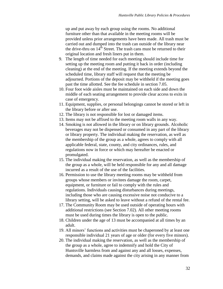up and put away by each group using the rooms. No additional furniture other than that available in the meeting rooms will be provided unless prior arrangements have been made. All trash must be carried out and dumped into the trash can outside of the library near the drive-thru on  $14<sup>th</sup>$  Street. The trash cans must be returned to their original location and fresh liners put in them.

- 9. The length of time needed for each meeting should include time for setting up the meeting room and putting it back in order (including cleaning) at the end of the meeting. If the meeting extends beyond the scheduled time, library staff will request that the meeting be adjourned. Portions of the deposit may be withheld if the meeting goes past the time allotted. See the fee schedule in section 7.05.
- 10. Four foot wide aisles must be maintained on each side and down the middle of each seating arrangement to provide clear access to exits in case of emergency.
- 11. Equipment, supplies, or personal belongings cannot be stored or left in the library before or after use.
- 12. The library is not responsible for lost or damaged items.
- 13. Items may not be affixed to the meeting room walls in any way.
- 14. Smoking is not allowed in the library or on library grounds. Alcoholic beverages may not be dispensed or consumed in any part of the library or library property. The individual making the reservation, as well as the membership of the group as a whole, agrees to comply with all applicable federal, state, county, and city ordinances, rules, and regulations now in force or which may hereafter be enacted or promulgated.
- 15. The individual making the reservation, as well as the membership of the group as a whole, will be held responsible for any and all damage incurred as a result of the use of the facilities.
- 16. Permission to use the library meeting rooms may be withheld from groups whose members or invitees damage the room, carpet, equipment, or furniture or fail to comply with the rules and regulations. Individuals causing disturbances during meetings, including those who are causing excessive noise not conducive to a library setting, will be asked to leave without a refund of the rental fee.
- 17. The Community Room may be used outside of operating hours with additional restrictions (see Section 7.02). All other meeting rooms must be used during times the library is open to the public.
- 18. Children under the age of 13 must be accompanied at all times by an adult.
- 19. All minors' functions and activities must be chaperoned by at least one responsible individual 21 years of age or older (for every five minors).
- 20. The individual making the reservation, as well as the membership of the group as a whole, agree to indemnify and hold the City of Huntsville harmless from and against any and all losses, expenses, demands, and claims made against the city arising in any manner from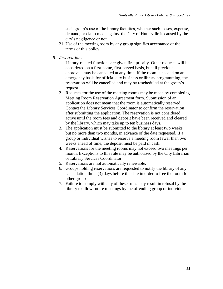such group's use of the library facilities, whether such losses, expense, demand, or claim made against the City of Huntsville is caused by the city's negligence or not.

- 21. Use of the meeting room by any group signifies acceptance of the terms of this policy.
- <span id="page-32-0"></span>*B. Reservations*
	- 1. Library-related functions are given first priority. Other requests will be considered on a first-come, first-served basis, but all previous approvals may be cancelled at any time. If the room is needed on an emergency basis for official city business or library programming, the reservation will be cancelled and may be rescheduled at the group's request.
	- 2. Requests for the use of the meeting rooms may be made by completing Meeting Room Reservation Agreement form. Submission of an application does not mean that the room is automatically reserved. Contact the Library Services Coordinator to confirm the reservation after submitting the application. The reservation is not considered active until the room fees and deposit have been received and cleared by the library, which may take up to ten business days.
	- 3. The application must be submitted to the library at least two weeks, but no more than two months, in advance of the date requested. If a group or individual wishes to reserve a meeting room fewer than two weeks ahead of time, the deposit must be paid in cash.
	- 4. Reservations for the meeting rooms may not exceed two meetings per month. Exceptions to this rule may be authorized by the City Librarian or Library Services Coordinator.
	- 5. Reservations are not automatically renewable.
	- 6. Groups holding reservations are requested to notify the library of any cancellation three (3) days before the date in order to free the room for other groups.
	- 7. Failure to comply with any of these rules may result in refusal by the library to allow future meetings by the offending group or individual.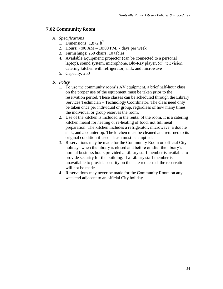# <span id="page-33-1"></span><span id="page-33-0"></span>**7.02 Community Room**

- *A. Specifications*
	- 1. Dimensions:  $1,872 \text{ ft}^2$
	- 2. Hours: 7:00 AM 10:00 PM, 7 days per week
	- 3. Furnishings: 250 chairs, 10 tables
	- 4. Available Equipment: projector (can be connected to a personal laptop), sound system, microphone, Blu-Ray player, 55" television, catering kitchen with refrigerator, sink, and microwave
	- 5. Capacity: 250
- <span id="page-33-2"></span>*B. Policy*
	- 1. To use the community room's AV equipment, a brief half-hour class on the proper use of the equipment must be taken prior to the reservation period. These classes can be scheduled through the Library Services Technician – Technology Coordinator. The class need only be taken once per individual or group, regardless of how many times the individual or group reserves the room.
	- 2. Use of the kitchen is included in the rental of the room. It is a catering kitchen meant for heating or re-heating of food, not full meal preparation. The kitchen includes a refrigerator, microwave, a double sink, and a countertop. The kitchen must be cleaned and returned to its original condition if used. Trash must be emptied.
	- 3. Reservations may be made for the Community Room on official City holidays when the library is closed and before or after the library's normal business hours provided a Library staff member is available to provide security for the building. If a Library staff member is unavailable to provide security on the date requested, the reservation will not be made.
	- 4. Reservations may never be made for the Community Room on any weekend adjacent to an official City holiday.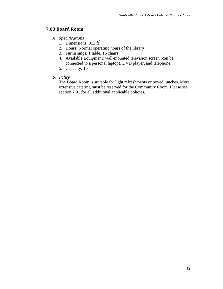# <span id="page-34-1"></span><span id="page-34-0"></span>**7.03 Board Room**

- *A. Specifications*
	- 1. Dimensions:  $312 \text{ ft}^2$
	- 2. Hours: Normal operating hours of the library
	- 3. Furnishings: 1 table, 16 chairs
	- 4. Available Equipment: wall-mounted television screen (can be connected to a personal laptop), DVD player, and telephone.
	- 5. Capacity: 16
- <span id="page-34-2"></span>*B. Policy*

The Board Room is suitable for light refreshments or boxed lunches. More extensive catering must be reserved for the Community Room. Please see section 7.01 for all additional applicable policies.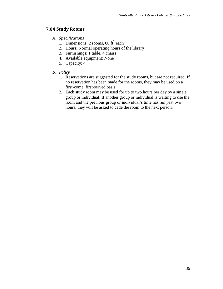# <span id="page-35-1"></span><span id="page-35-0"></span>**7.04 Study Rooms**

- *A. Specifications*
	- 1. Dimensions: 2 rooms,  $80 \text{ ft}^2$  each
	- 2. Hours: Normal operating hours of the library
	- 3. Furnishings: 1 table, 4 chairs
	- 4. Available equipment: None
	- 5. Capacity: 4
- <span id="page-35-2"></span>*B. Policy*
	- 1. Reservations are suggested for the study rooms, but are not required. If no reservation has been made for the rooms, they may be used on a first-come, first-served basis.
	- 2. Each study room may be used for up to two hours per day by a single group or individual. If another group or individual is waiting to use the room and the previous group or individual's time has run past two hours, they will be asked to cede the room to the next person.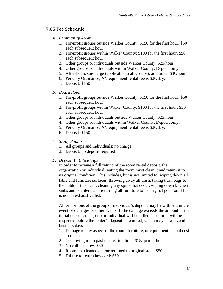# <span id="page-36-1"></span><span id="page-36-0"></span>**7.05 Fee Schedule**

- *A. Community Room*
	- 1. For-profit groups outside Walker County: \$150 for the first hour, \$50 each subsequent hour
	- 2. For-profit groups within Walker County: \$100 for the first hour, \$50 each subsequent hour
	- 3. Other groups or individuals outside Walker County: \$25/hour
	- 4. Other groups or individuals within Walker County: Deposit only
	- 5. After-hours surcharge (applicable to all groups): additional \$30/hour
	- 6. Per City Ordinance, AV equipment rental fee is \$20/day.
	- 7. Deposit: \$150

# <span id="page-36-2"></span>*B. Board Room*

- 1. For-profit groups outside Walker County: \$150 for the first hour; \$50 each subsequent hour
- 2. For-profit groups within Walker County: \$100 for the first hour; \$50 each subsequent hour
- 3. Other groups or individuals outside Walker County: \$25/hour
- 4. Other groups or individuals within Walker County: Deposit only.
- 5. Per City Ordinance, AV equipment rental fee is \$20/day.
- 6. Deposit: \$150

# <span id="page-36-3"></span>*C. Study Rooms*

- 1. All groups and individuals: no charge
- 2. Deposit: no deposit required

# <span id="page-36-4"></span>*D. Deposit Withholdings*

In order to receive a full refund of the room rental deposit, the organization or individual renting the room must clean it and return it to its original condition. This includes, but is not limited to, wiping down all table and furniture surfaces, throwing away all trash, taking trash bags to the outdoor trash can, cleaning any spills that occur, wiping down kitchen sinks and counters, and returning all furniture to its original position. This is not an exhaustive list.

All or portions of the group or individual's deposit may be withheld in the event of damages or other events. If the damage exceeds the amount of the initial deposit, the group or individual will be billed. The room will be inspected before the renter's deposit is returned, which may take several business days.

- 1. Damage to any aspect of the room, furniture, or equipment: actual cost to repair
- 2. Occupying room past reservation time: \$15/quarter hour
- 3. No call no show: \$50
- 4. Room not cleaned and/or returned to original state: \$50
- 5. Failure to return key card: \$50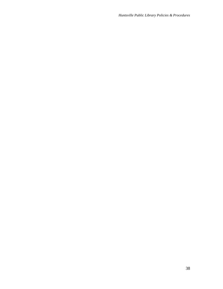*Huntsville Public Library Policies & Procedures*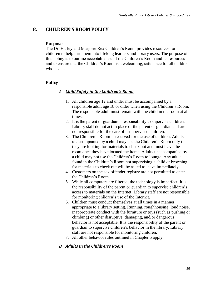# <span id="page-38-1"></span><span id="page-38-0"></span>**8. CHILDREN'S ROOM POLICY**

#### **Purpose**

The Dr. Harley and Marjorie Rex Children's Room provides resources for children to help turn them into lifelong learners and library users. The purpose of this policy is to outline acceptable use of the Children's Room and its resources and to ensure that the Children's Room is a welcoming, safe place for all children who use it.

# <span id="page-38-3"></span><span id="page-38-2"></span>**Policy**

# *A. Child Safety in the Children's Room*

- 1. All children age 12 and under must be accompanied by a responsible adult age 18 or older when using the Children's Room. The responsible adult must remain with the child in the room at all times.
- 2. It is the parent or guardian's responsibility to supervise children. Library staff do not act in place of the parent or guardian and are not responsible for the care of unsupervised children.
- 3. The Children's Room is reserved for the use of children. Adults unaccompanied by a child may use the Children's Room only if they are looking for materials to check out and must leave the room once they have located the items. Adults unaccompanied by a child may not use the Children's Room to lounge. Any adult found in the Children's Room not supervising a child or browsing for materials to check out will be asked to leave immediately.
- 4. Customers on the sex offender registry are not permitted to enter the Children's Room.
- 5. While all computers are filtered, the technology is imperfect. It is the responsibility of the parent or guardian to supervise children's access to materials on the Internet. Library staff are not responsible for monitoring children's use of the Internet.
- 6. Children must conduct themselves at all times in a manner appropriate to a library setting. Running, roughhousing, loud noise, inappropriate conduct with the furniture or toys (such as pushing or climbing) or other disruptive, damaging, and/or dangerous behavior is not acceptable. It is the responsibility of the parent or guardian to supervise children's behavior in the library. Library staff are not responsible for monitoring children.
- 7. All other behavior rules outlined in Chapter 5 apply.

## <span id="page-38-4"></span>*B. Adults in the Children's Room*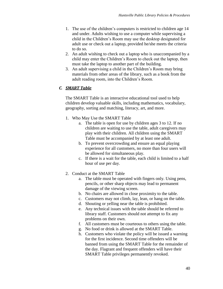- 1. The use of the children's computers is restricted to children age 14 and under. Adults wishing to use a computer while supervising a child in the Children's Room may use the desktop designated for adult use or check out a laptop, provided he/she meets the criteria to do so.
- 2. An adult wishing to check out a laptop who is unaccompanied by a child may enter the Children's Room to check out the laptop, then must take the laptop to another part of the building.
- 3. An adult supervising a child in the Children's Room may bring materials from other areas of the library, such as a book from the adult reading room, into the Children's Room.

# <span id="page-39-0"></span>*C. SMART Table*

The SMART Table is an interactive educational tool used to help children develop valuable skills, including mathematics, vocabulary, geography, sorting and matching, literacy, art, and more.

- 1. Who May Use the SMART Table
	- a. The table is open for use by children ages 3 to 12. If no children are waiting to use the table, adult caregivers may play with their children. All children using the SMART Table must be accompanied by at least one adult.
	- b. To prevent overcrowding and ensure an equal playing experience for all customers, no more than four users will be allowed for simultaneous play.
	- c. If there is a wait for the table, each child is limited to a half hour of use per day.
- 2. Conduct at the SMART Table
	- a. The table must be operated with fingers only. Using pens, pencils, or other sharp objects may lead to permanent damage of the viewing screen.
	- b. No chairs are allowed in close proximity to the table.
	- c. Customers may not climb, lay, lean, or hang on the table.
	- d. Shouting or yelling near the table is prohibited.
	- e. Any technical issues with the table should be referred to library staff. Customers should not attempt to fix any problems on their own.
	- f. All customers must be courteous to others using the table.
	- g. No food or drink is allowed at the SMART Table.
	- h. Customers who violate the policy will be issued a warning for the first incidence. Second time offenders will be banned from using the SMART Table for the remainder of the day. Flagrant and frequent offenders will have their SMART Table privileges permanently revoked.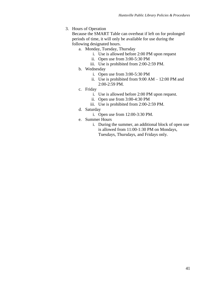3. Hours of Operation

Because the SMART Table can overheat if left on for prolonged periods of time, it will only be available for use during the following designated hours.

- a. Monday, Tuesday, Thursday
	- i. Use is allowed before 2:00 PM upon request
	- ii. Open use from 3:00-5:30 PM
	- iii. Use is prohibited from 2:00-2:59 PM.
- b. Wednesday
	- i. Open use from 3:00-5:30 PM
	- ii. Use is prohibited from 9:00 AM 12:00 PM and 2:00-2:59 PM.
- c. Friday
	- i. Use is allowed before 2:00 PM upon request.
	- ii. Open use from 3:00-4:30 PM
	- iii. Use is prohibited from 2:00-2:59 PM.
- d. Saturday
	- i. Open use from 12:00-3:30 PM.
- e. Summer Hours
	- i. During the summer, an additional block of open use is allowed from 11:00-1:30 PM on Mondays, Tuesdays, Thursdays, and Fridays only.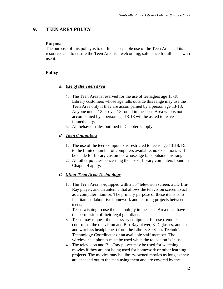# <span id="page-41-1"></span><span id="page-41-0"></span>**9. TEEN AREA POLICY**

#### **Purpose**

The purpose of this policy is to outline acceptable use of the Teen Area and its resources and to ensure the Teen Area is a welcoming, safe place for all teens who use it.

# <span id="page-41-3"></span><span id="page-41-2"></span>**Policy**

## *A. Use of the Teen Area*

- 4. The Teen Area is reserved for the use of teenagers age 13-18. Library customers whose age falls outside this range may use the Teen Area only if they are accompanied by a person age 13-18. Anyone under 13 or over 18 found in the Teen Area who is not accompanied by a person age 13-18 will be asked to leave immediately.
- 5. All behavior rules outlined in Chapter 5 apply.

# <span id="page-41-4"></span>*B. Teen Computers*

- 1. The use of the teen computers is restricted to teens age 13-18. Due to the limited number of computers available, no exceptions will be made for library customers whose age falls outside this range.
- 2. All other policies concerning the use of library computers found in Chapter 4 apply.

# <span id="page-41-5"></span>*C. Other Teen Area Technology*

- 1. The Teen Area is equipped with a 55" television screen, a 3D Blu-Ray player, and an antenna that allows the television screen to act as a computer monitor. The primary purpose of these items is to facilitate collaborative homework and learning projects between teens.
- 2. Teens wishing to use the technology in the Teen Area must have the permission of their legal guardians.
- 3. Teens may request the necessary equipment for use (remote controls to the television and Blu-Ray player, 3-D glasses, antenna, and wireless headphones) from the Library Services Technician – Technology Coordinator or an available staff member. The wireless headphones must be used when the television is in use.
- 4. The television and Blu-Ray player may be used for watching movies if they are not being used for homework or other learning projects. The movies may be library-owned movies as long as they are checked out to the teen using them and are covered by the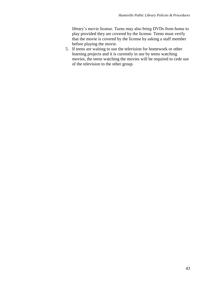library's movie license. Teens may also bring DVDs from home to play provided they are covered by the license. Teens must verify that the movie is covered by the license by asking a staff member before playing the movie.

5. If teens are waiting to use the television for homework or other learning projects and it is currently in use by teens watching movies, the teens watching the movies will be required to cede use of the television to the other group.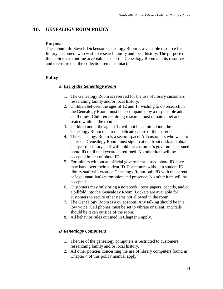# <span id="page-43-1"></span><span id="page-43-0"></span>**10. GENEALOGY ROOM POLICY**

#### **Purpose**

The Johnnie Jo Sowell Dickenson Genealogy Room is a valuable resource for library customers who wish to research family and local history. The purpose of this policy is to outline acceptable use of the Genealogy Room and its resources and to ensure that the collection remains intact.

# <span id="page-43-3"></span><span id="page-43-2"></span>**Policy**

## *A. Use of the Genealogy Room*

- 1. The Genealogy Room is reserved for the use of library customers researching family and/or local history.
- 2. Children between the ages of 12 and 17 wishing to do research in the Genealogy Room must be accompanied by a responsible adult at all times. Children not doing research must remain quiet and seated while in the room.
- 3. Children under the age of 12 will not be admitted into the Genealogy Room due to the delicate nature of the materials.
- 4. The Genealogy Room is a secure space. All customers who wish to enter the Genealogy Room must sign in at the front desk and obtain a keycard. Library staff will hold the customer's government-issued photo ID until the keycard is returned. No other item will be accepted in lieu of photo ID.
- 5. For minors without an official government-issued photo ID, they may hand over their student ID. For minors without a student ID, library staff will create a Genealogy Room-only ID with the parent or legal guardian's permission and presence. No other item will be accepted.
- 6. Customers may only bring a notebook, loose papers, pencils, and/or a billfold into the Genealogy Room. Lockers are available for customers to secure other items not allowed in the room.
- 7. The Genealogy Room is a quiet room. Any talking should be in a low voice. Cell phones must be set to vibrate or silent, and calls should be taken outside of the room.
- 8. All behavior rules outlined in Chapter 5 apply.

# <span id="page-43-4"></span>*B. Genealogy Computers*

- 1. The use of the genealogy computers is restricted to customers researching family and/or local history.
- 2. All other policies concerning the use of library computers found in Chapter 4 of this policy manual apply.